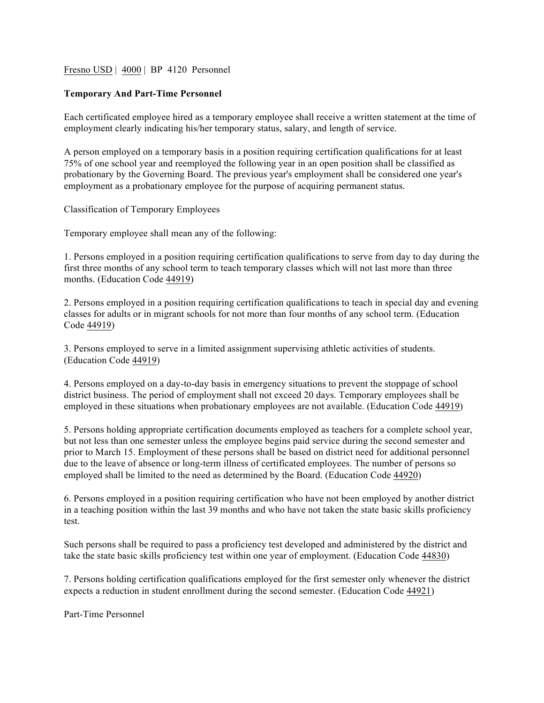## Fresno USD | 4000 | BP 4120 Personnel

## **Temporary And Part-Time Personnel**

Each certificated employee hired as a temporary employee shall receive a written statement at the time of employment clearly indicating his/her temporary status, salary, and length of service.

A person employed on a temporary basis in a position requiring certification qualifications for at least 75% of one school year and reemployed the following year in an open position shall be classified as probationary by the Governing Board. The previous year's employment shall be considered one year's employment as a probationary employee for the purpose of acquiring permanent status.

Classification of Temporary Employees

Temporary employee shall mean any of the following:

1. Persons employed in a position requiring certification qualifications to serve from day to day during the first three months of any school term to teach temporary classes which will not last more than three months. (Education Code 44919)

2. Persons employed in a position requiring certification qualifications to teach in special day and evening classes for adults or in migrant schools for not more than four months of any school term. (Education Code 44919)

3. Persons employed to serve in a limited assignment supervising athletic activities of students. (Education Code 44919)

4. Persons employed on a day-to-day basis in emergency situations to prevent the stoppage of school district business. The period of employment shall not exceed 20 days. Temporary employees shall be employed in these situations when probationary employees are not available. (Education Code 44919)

5. Persons holding appropriate certification documents employed as teachers for a complete school year, but not less than one semester unless the employee begins paid service during the second semester and prior to March 15. Employment of these persons shall be based on district need for additional personnel due to the leave of absence or long-term illness of certificated employees. The number of persons so employed shall be limited to the need as determined by the Board. (Education Code 44920)

6. Persons employed in a position requiring certification who have not been employed by another district in a teaching position within the last 39 months and who have not taken the state basic skills proficiency test.

Such persons shall be required to pass a proficiency test developed and administered by the district and take the state basic skills proficiency test within one year of employment. (Education Code 44830)

7. Persons holding certification qualifications employed for the first semester only whenever the district expects a reduction in student enrollment during the second semester. (Education Code 44921)

Part-Time Personnel